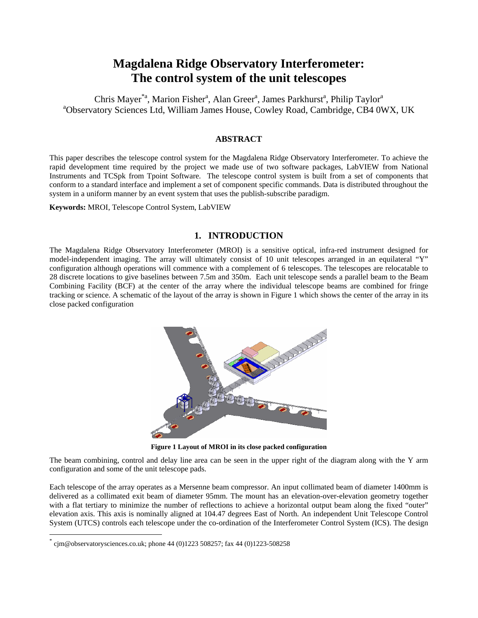# **Magdalena Ridge Observatory Interferometer: The control system of the unit telescopes**

Chris Mayer<sup>\*a</sup>, Marion Fisher<sup>a</sup>, Alan Greer<sup>a</sup>, James Parkhurst<sup>a</sup>, Philip Taylor<sup>a</sup> a Observatory Sciences Ltd, William James House, Cowley Road, Cambridge, CB4 0WX, UK

#### **ABSTRACT**

This paper describes the telescope control system for the Magdalena Ridge Observatory Interferometer. To achieve the rapid development time required by the project we made use of two software packages, LabVIEW from National Instruments and TCSpk from Tpoint Software. The telescope control system is built from a set of components that conform to a standard interface and implement a set of component specific commands. Data is distributed throughout the system in a uniform manner by an event system that uses the publish-subscribe paradigm.

**Keywords:** MROI, Telescope Control System, LabVIEW

## **1. INTRODUCTION**

The Magdalena Ridge Observatory Interferometer (MROI) is a sensitive optical, infra-red instrument designed for model-independent imaging. The array will ultimately consist of 10 unit telescopes arranged in an equilateral "Y" configuration although operations will commence with a complement of 6 telescopes. The telescopes are relocatable to 28 discrete locations to give baselines between 7.5m and 350m. Each unit telescope sends a parallel beam to the Beam Combining Facility (BCF) at the center of the array where the individual telescope beams are combined for fringe tracking or science. A schematic of the layout of the array is shown in Figure 1 which shows the center of the array in its close packed configuration



**Figure 1 Layout of MROI in its close packed configuration**

The beam combining, control and delay line area can be seen in the upper right of the diagram along with the Y arm configuration and some of the unit telescope pads.

Each telescope of the array operates as a Mersenne beam compressor. An input collimated beam of diameter 1400mm is delivered as a collimated exit beam of diameter 95mm. The mount has an elevation-over-elevation geometry together with a flat tertiary to minimize the number of reflections to achieve a horizontal output beam along the fixed "outer" elevation axis. This axis is nominally aligned at 104.47 degrees East of North. An independent Unit Telescope Control System (UTCS) controls each telescope under the co-ordination of the Interferometer Control System (ICS). The design

<u>.</u>

<sup>\*</sup> cjm@observatorysciences.co.uk; phone 44 (0)1223 508257; fax 44 (0)1223-508258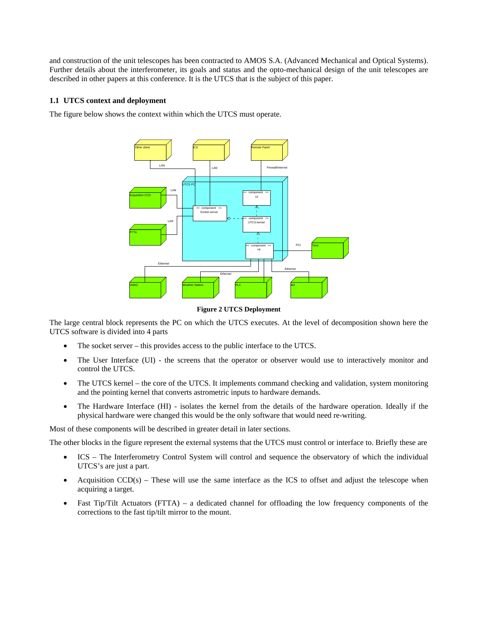and construction of the unit telescopes has been contracted to AMOS S.A. (Advanced Mechanical and Optical Systems). Further details about the interferometer, its goals and status and the opto-mechanical design of the unit telescopes are described in other papers at this conference. It is the UTCS that is the subject of this paper.

## **1.1 UTCS context and deployment**

The figure below shows the context within which the UTCS must operate.



**Figure 2 UTCS Deployment**

The large central block represents the PC on which the UTCS executes. At the level of decomposition shown here the UTCS software is divided into 4 parts

- The socket server this provides access to the public interface to the UTCS.
- The User Interface (UI) the screens that the operator or observer would use to interactively monitor and control the UTCS.
- The UTCS kernel the core of the UTCS. It implements command checking and validation, system monitoring and the pointing kernel that converts astrometric inputs to hardware demands.
- The Hardware Interface (HI) isolates the kernel from the details of the hardware operation. Ideally if the physical hardware were changed this would be the only software that would need re-writing.

Most of these components will be described in greater detail in later sections.

The other blocks in the figure represent the external systems that the UTCS must control or interface to. Briefly these are

- ICS The Interferometry Control System will control and sequence the observatory of which the individual UTCS's are just a part.
- Acquisition  $CCD(s)$  These will use the same interface as the ICS to offset and adjust the telescope when acquiring a target.
- Fast Tip/Tilt Actuators (FTTA) a dedicated channel for offloading the low frequency components of the corrections to the fast tip/tilt mirror to the mount.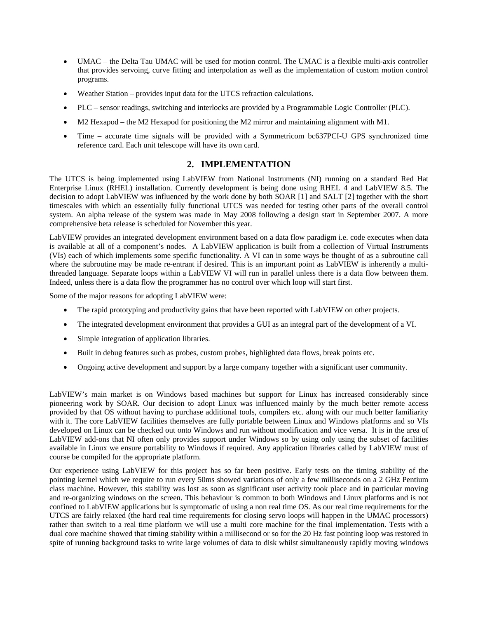- UMAC the Delta Tau UMAC will be used for motion control. The UMAC is a flexible multi-axis controller that provides servoing, curve fitting and interpolation as well as the implementation of custom motion control programs.
- Weather Station provides input data for the UTCS refraction calculations.
- PLC sensor readings, switching and interlocks are provided by a Programmable Logic Controller (PLC).
- M2 Hexapod the M2 Hexapod for positioning the M2 mirror and maintaining alignment with M1.
- Time accurate time signals will be provided with a Symmetricom bc637PCI-U GPS synchronized time reference card. Each unit telescope will have its own card.

# **2. IMPLEMENTATION**

The UTCS is being implemented using LabVIEW from National Instruments (NI) running on a standard Red Hat Enterprise Linux (RHEL) installation. Currently development is being done using RHEL 4 and LabVIEW 8.5. The decision to adopt LabVIEW was influenced by the work done by both SOAR [1] and SALT [2] together with the short timescales with which an essentially fully functional UTCS was needed for testing other parts of the overall control system. An alpha release of the system was made in May 2008 following a design start in September 2007. A more comprehensive beta release is scheduled for November this year.

LabVIEW provides an integrated development environment based on a data flow paradigm i.e. code executes when data is available at all of a component's nodes. A LabVIEW application is built from a collection of Virtual Instruments (VIs) each of which implements some specific functionality. A VI can in some ways be thought of as a subroutine call where the subroutine may be made re-entrant if desired. This is an important point as LabVIEW is inherently a multithreaded language. Separate loops within a LabVIEW VI will run in parallel unless there is a data flow between them. Indeed, unless there is a data flow the programmer has no control over which loop will start first.

Some of the major reasons for adopting LabVIEW were:

- The rapid prototyping and productivity gains that have been reported with LabVIEW on other projects.
- The integrated development environment that provides a GUI as an integral part of the development of a VI.
- Simple integration of application libraries.
- Built in debug features such as probes, custom probes, highlighted data flows, break points etc.
- Ongoing active development and support by a large company together with a significant user community.

LabVIEW's main market is on Windows based machines but support for Linux has increased considerably since pioneering work by SOAR. Our decision to adopt Linux was influenced mainly by the much better remote access provided by that OS without having to purchase additional tools, compilers etc. along with our much better familiarity with it. The core LabVIEW facilities themselves are fully portable between Linux and Windows platforms and so VIs developed on Linux can be checked out onto Windows and run without modification and vice versa. It is in the area of LabVIEW add-ons that NI often only provides support under Windows so by using only using the subset of facilities available in Linux we ensure portability to Windows if required. Any application libraries called by LabVIEW must of course be compiled for the appropriate platform.

Our experience using LabVIEW for this project has so far been positive. Early tests on the timing stability of the pointing kernel which we require to run every 50ms showed variations of only a few milliseconds on a 2 GHz Pentium class machine. However, this stability was lost as soon as significant user activity took place and in particular moving and re-organizing windows on the screen. This behaviour is common to both Windows and Linux platforms and is not confined to LabVIEW applications but is symptomatic of using a non real time OS. As our real time requirements for the UTCS are fairly relaxed (the hard real time requirements for closing servo loops will happen in the UMAC processors) rather than switch to a real time platform we will use a multi core machine for the final implementation. Tests with a dual core machine showed that timing stability within a millisecond or so for the 20 Hz fast pointing loop was restored in spite of running background tasks to write large volumes of data to disk whilst simultaneously rapidly moving windows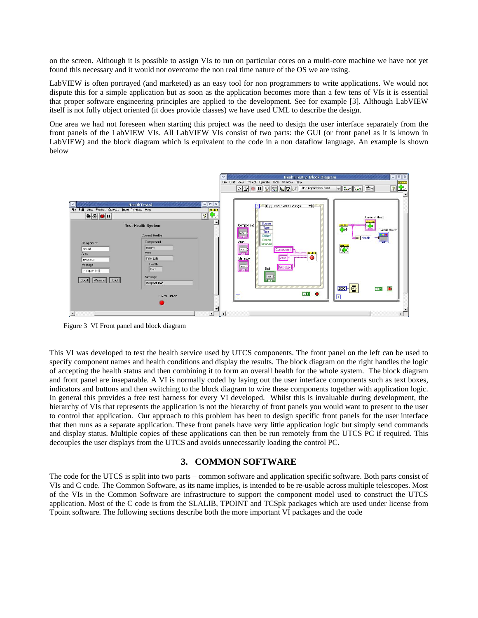on the screen. Although it is possible to assign VIs to run on particular cores on a multi-core machine we have not yet found this necessary and it would not overcome the non real time nature of the OS we are using.

LabVIEW is often portrayed (and marketed) as an easy tool for non programmers to write applications. We would not dispute this for a simple application but as soon as the application becomes more than a few tens of VIs it is essential that proper software engineering principles are applied to the development. See for example [3]. Although LabVIEW itself is not fully object oriented (it does provide classes) we have used UML to describe the design.

One area we had not foreseen when starting this project was the need to design the user interface separately from the front panels of the LabVIEW VIs. All LabVIEW VIs consist of two parts: the GUI (or front panel as it is known in LabVIEW) and the block diagram which is equivalent to the code in a non dataflow language. An example is shown below



Figure 3 VI Front panel and block diagram

This VI was developed to test the health service used by UTCS components. The front panel on the left can be used to specify component names and health conditions and display the results. The block diagram on the right handles the logic of accepting the health status and then combining it to form an overall health for the whole system. The block diagram and front panel are inseparable. A VI is normally coded by laying out the user interface components such as text boxes, indicators and buttons and then switching to the block diagram to wire these components together with application logic. In general this provides a free test harness for every VI developed. Whilst this is invaluable during development, the hierarchy of VIs that represents the application is not the hierarchy of front panels you would want to present to the user to control that application. Our approach to this problem has been to design specific front panels for the user interface that then runs as a separate application. These front panels have very little application logic but simply send commands and display status. Multiple copies of these applications can then be run remotely from the UTCS PC if required. This decouples the user displays from the UTCS and avoids unnecessarily loading the control PC.

## **3. COMMON SOFTWARE**

The code for the UTCS is split into two parts – common software and application specific software. Both parts consist of VIs and C code. The Common Software, as its name implies, is intended to be re-usable across multiple telescopes. Most of the VIs in the Common Software are infrastructure to support the component model used to construct the UTCS application. Most of the C code is from the SLALIB, TPOINT and TCSpk packages which are used under license from Tpoint software. The following sections describe both the more important VI packages and the code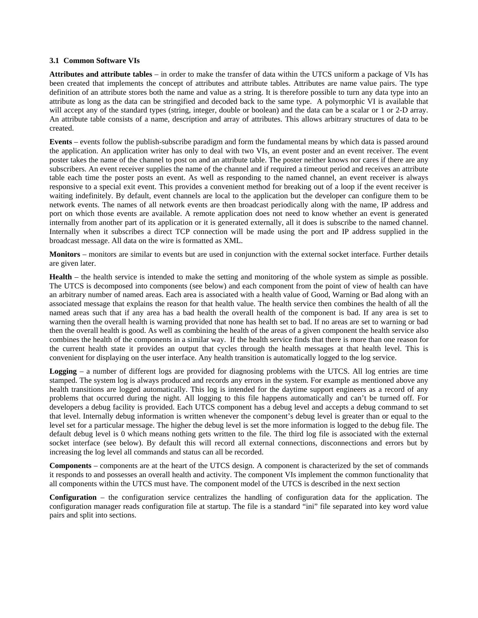#### **3.1 Common Software VIs**

**Attributes and attribute tables** – in order to make the transfer of data within the UTCS uniform a package of VIs has been created that implements the concept of attributes and attribute tables. Attributes are name value pairs. The type definition of an attribute stores both the name and value as a string. It is therefore possible to turn any data type into an attribute as long as the data can be stringified and decoded back to the same type. A polymorphic VI is available that will accept any of the standard types (string, integer, double or boolean) and the data can be a scalar or 1 or 2-D array. An attribute table consists of a name, description and array of attributes. This allows arbitrary structures of data to be created.

**Events** – events follow the publish-subscribe paradigm and form the fundamental means by which data is passed around the application. An application writer has only to deal with two VIs, an event poster and an event receiver. The event poster takes the name of the channel to post on and an attribute table. The poster neither knows nor cares if there are any subscribers. An event receiver supplies the name of the channel and if required a timeout period and receives an attribute table each time the poster posts an event. As well as responding to the named channel, an event receiver is always responsive to a special exit event. This provides a convenient method for breaking out of a loop if the event receiver is waiting indefinitely. By default, event channels are local to the application but the developer can configure them to be network events. The names of all network events are then broadcast periodically along with the name, IP address and port on which those events are available. A remote application does not need to know whether an event is generated internally from another part of its application or it is generated externally, all it does is subscribe to the named channel. Internally when it subscribes a direct TCP connection will be made using the port and IP address supplied in the broadcast message. All data on the wire is formatted as XML.

**Monitors** – monitors are similar to events but are used in conjunction with the external socket interface. Further details are given later.

**Health** – the health service is intended to make the setting and monitoring of the whole system as simple as possible. The UTCS is decomposed into components (see below) and each component from the point of view of health can have an arbitrary number of named areas. Each area is associated with a health value of Good, Warning or Bad along with an associated message that explains the reason for that health value. The health service then combines the health of all the named areas such that if any area has a bad health the overall health of the component is bad. If any area is set to warning then the overall health is warning provided that none has health set to bad. If no areas are set to warning or bad then the overall health is good. As well as combining the health of the areas of a given component the health service also combines the health of the components in a similar way. If the health service finds that there is more than one reason for the current health state it provides an output that cycles through the health messages at that health level. This is convenient for displaying on the user interface. Any health transition is automatically logged to the log service.

**Logging** – a number of different logs are provided for diagnosing problems with the UTCS. All log entries are time stamped. The system log is always produced and records any errors in the system. For example as mentioned above any health transitions are logged automatically. This log is intended for the daytime support engineers as a record of any problems that occurred during the night. All logging to this file happens automatically and can't be turned off. For developers a debug facility is provided. Each UTCS component has a debug level and accepts a debug command to set that level. Internally debug information is written whenever the component's debug level is greater than or equal to the level set for a particular message. The higher the debug level is set the more information is logged to the debug file. The default debug level is 0 which means nothing gets written to the file. The third log file is associated with the external socket interface (see below). By default this will record all external connections, disconnections and errors but by increasing the log level all commands and status can all be recorded.

**Components** – components are at the heart of the UTCS design. A component is characterized by the set of commands it responds to and possesses an overall health and activity. The component VIs implement the common functionality that all components within the UTCS must have. The component model of the UTCS is described in the next section

**Configuration** – the configuration service centralizes the handling of configuration data for the application. The configuration manager reads configuration file at startup. The file is a standard "ini" file separated into key word value pairs and split into sections.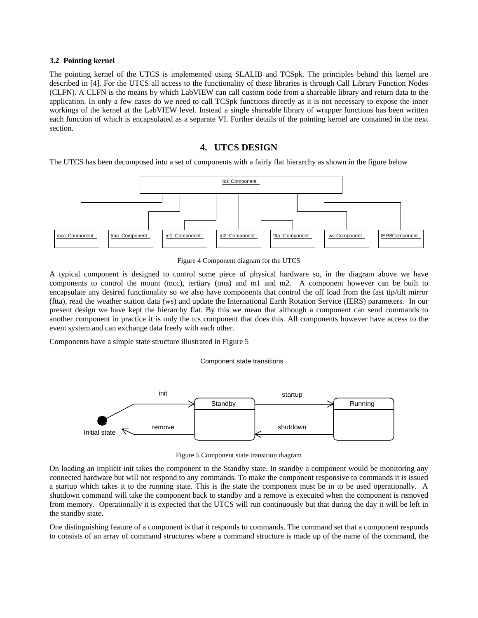#### **3.2 Pointing kernel**

The pointing kernel of the UTCS is implemented using SLALIB and TCSpk. The principles behind this kernel are described in [4]. For the UTCS all access to the functionality of these libraries is through Call Library Function Nodes (CLFN). A CLFN is the means by which LabVIEW can call custom code from a shareable library and return data to the application. In only a few cases do we need to call TCSpk functions directly as it is not necessary to expose the inner workings of the kernel at the LabVIEW level. Instead a single shareable library of wrapper functions has been written each function of which is encapsulated as a separate VI. Further details of the pointing kernel are contained in the next section.

## **4. UTCS DESIGN**

The UTCS has been decomposed into a set of components with a fairly flat hierarchy as shown in the figure below



Figure 4 Component diagram for the UTCS

A typical component is designed to control some piece of physical hardware so, in the diagram above we have components to control the mount (mcc), tertiary (tma) and m1 and m2. A component however can be built to encapsulate any desired functionality so we also have components that control the off load from the fast tip/tilt mirror (ftta), read the weather station data (ws) and update the International Earth Rotation Service (IERS) parameters. In our present design we have kept the hierarchy flat. By this we mean that although a component can send commands to another component in practice it is only the tcs component that does this. All components however have access to the event system and can exchange data freely with each other.

Components have a simple state structure illustrated in Figure 5

Component state transitions



Figure 5 Component state transition diagram

On loading an implicit init takes the component to the Standby state. In standby a component would be monitoring any connected hardware but will not respond to any commands. To make the component responsive to commands it is issued a startup which takes it to the running state. This is the state the component must be in to be used operationally. A shutdown command will take the component back to standby and a remove is executed when the component is removed from memory. Operationally it is expected that the UTCS will run continuously but that during the day it will be left in the standby state.

One distinguishing feature of a component is that it responds to commands. The command set that a component responds to consists of an array of command structures where a command structure is made up of the name of the command, the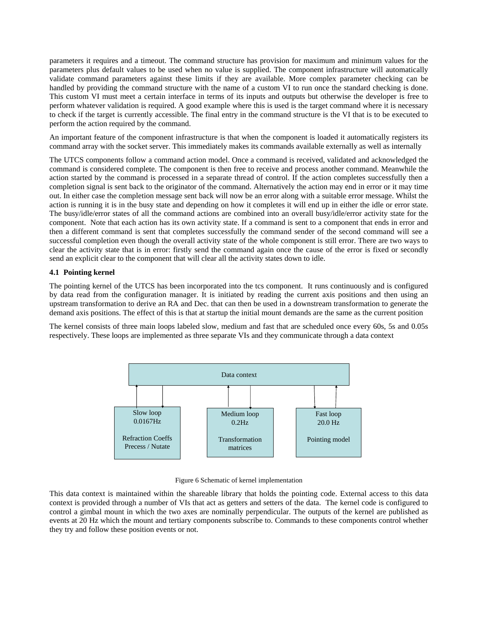parameters it requires and a timeout. The command structure has provision for maximum and minimum values for the parameters plus default values to be used when no value is supplied. The component infrastructure will automatically validate command parameters against these limits if they are available. More complex parameter checking can be handled by providing the command structure with the name of a custom VI to run once the standard checking is done. This custom VI must meet a certain interface in terms of its inputs and outputs but otherwise the developer is free to perform whatever validation is required. A good example where this is used is the target command where it is necessary to check if the target is currently accessible. The final entry in the command structure is the VI that is to be executed to perform the action required by the command.

An important feature of the component infrastructure is that when the component is loaded it automatically registers its command array with the socket server. This immediately makes its commands available externally as well as internally

The UTCS components follow a command action model. Once a command is received, validated and acknowledged the command is considered complete. The component is then free to receive and process another command. Meanwhile the action started by the command is processed in a separate thread of control. If the action completes successfully then a completion signal is sent back to the originator of the command. Alternatively the action may end in error or it may time out. In either case the completion message sent back will now be an error along with a suitable error message. Whilst the action is running it is in the busy state and depending on how it completes it will end up in either the idle or error state. The busy/idle/error states of all the command actions are combined into an overall busy/idle/error activity state for the component. Note that each action has its own activity state. If a command is sent to a component that ends in error and then a different command is sent that completes successfully the command sender of the second command will see a successful completion even though the overall activity state of the whole component is still error. There are two ways to clear the activity state that is in error: firstly send the command again once the cause of the error is fixed or secondly send an explicit clear to the component that will clear all the activity states down to idle.

### **4.1 Pointing kernel**

The pointing kernel of the UTCS has been incorporated into the tcs component. It runs continuously and is configured by data read from the configuration manager. It is initiated by reading the current axis positions and then using an upstream transformation to derive an RA and Dec. that can then be used in a downstream transformation to generate the demand axis positions. The effect of this is that at startup the initial mount demands are the same as the current position

The kernel consists of three main loops labeled slow, medium and fast that are scheduled once every 60s, 5s and 0.05s respectively. These loops are implemented as three separate VIs and they communicate through a data context



Figure 6 Schematic of kernel implementation

This data context is maintained within the shareable library that holds the pointing code. External access to this data context is provided through a number of VIs that act as getters and setters of the data. The kernel code is configured to control a gimbal mount in which the two axes are nominally perpendicular. The outputs of the kernel are published as events at 20 Hz which the mount and tertiary components subscribe to. Commands to these components control whether they try and follow these position events or not.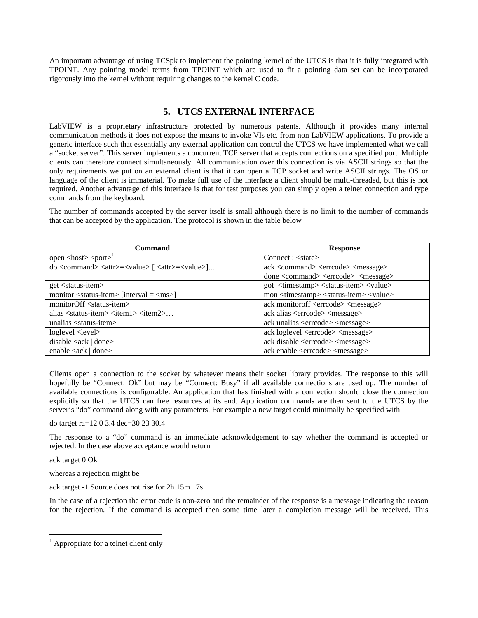An important advantage of using TCSpk to implement the pointing kernel of the UTCS is that it is fully integrated with TPOINT. Any pointing model terms from TPOINT which are used to fit a pointing data set can be incorporated rigorously into the kernel without requiring changes to the kernel C code.

# **5. UTCS EXTERNAL INTERFACE**

LabVIEW is a proprietary infrastructure protected by numerous patents. Although it provides many internal communication methods it does not expose the means to invoke VIs etc. from non LabVIEW applications. To provide a generic interface such that essentially any external application can control the UTCS we have implemented what we call a "socket server". This server implements a concurrent TCP server that accepts connections on a specified port. Multiple clients can therefore connect simultaneously. All communication over this connection is via ASCII strings so that the only requirements we put on an external client is that it can open a TCP socket and write ASCII strings. The OS or language of the client is immaterial. To make full use of the interface a client should be multi-threaded, but this is not required. Another advantage of this interface is that for test purposes you can simply open a telnet connection and type commands from the keyboard.

The number of commands accepted by the server itself is small although there is no limit to the number of commands that can be accepted by the application. The protocol is shown in the table below

| <b>Command</b>                                                               | <b>Response</b>                                                         |
|------------------------------------------------------------------------------|-------------------------------------------------------------------------|
| open <host> <port><math>\rightarrow</math></port></host>                     | Connect : < state>                                                      |
| do <command/> <attr>=<value> [ <attr>=<value>]</value></attr></value></attr> | ack <command/> <errcode> <message></message></errcode>                  |
|                                                                              | done <command/> <errcode> <message></message></errcode>                 |
| get <status-item></status-item>                                              | got <timestamp> <status-item> <value></value></status-item></timestamp> |
| monitor $\langle$ status-item $\rangle$ [interval = $\langle$ ms $\rangle$ ] | mon <timestamp> <status-item> <value></value></status-item></timestamp> |
| monitorOff <status-item></status-item>                                       | ack monitoroff <errcode> <message></message></errcode>                  |
| alias <status-item> <item1> <item2></item2></item1></status-item>            | ack alias <errcode> <message></message></errcode>                       |
| unalias <status-item></status-item>                                          | ack unalias <errcode> <message></message></errcode>                     |
| $loglevel$ <level></level>                                                   | ack loglevel <errcode> <message></message></errcode>                    |
| $disable <$ ack   done>                                                      | ack disable <errcode> <message></message></errcode>                     |
| enable <ack done=""  =""></ack>                                              | ack enable <errcode> <message></message></errcode>                      |

Clients open a connection to the socket by whatever means their socket library provides. The response to this will hopefully be "Connect: Ok" but may be "Connect: Busy" if all available connections are used up. The number of available connections is configurable. An application that has finished with a connection should close the connection explicitly so that the UTCS can free resources at its end. Application commands are then sent to the UTCS by the server's "do" command along with any parameters. For example a new target could minimally be specified with

do target ra=12 0 3.4 dec=30 23 30.4

The response to a "do" command is an immediate acknowledgement to say whether the command is accepted or rejected. In the case above acceptance would return

ack target 0 Ok

<u>.</u>

whereas a rejection might be

ack target -1 Source does not rise for 2h 15m 17s

In the case of a rejection the error code is non-zero and the remainder of the response is a message indicating the reason for the rejection. If the command is accepted then some time later a completion message will be received. This

<sup>&</sup>lt;sup>1</sup> Appropriate for a telnet client only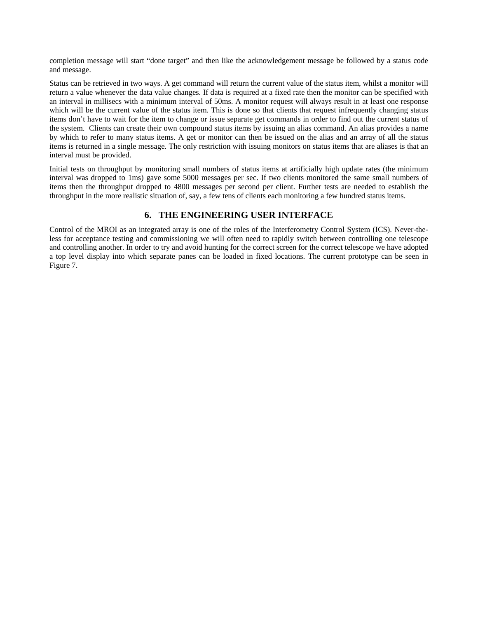completion message will start "done target" and then like the acknowledgement message be followed by a status code and message.

Status can be retrieved in two ways. A get command will return the current value of the status item, whilst a monitor will return a value whenever the data value changes. If data is required at a fixed rate then the monitor can be specified with an interval in millisecs with a minimum interval of 50ms. A monitor request will always result in at least one response which will be the current value of the status item. This is done so that clients that request infrequently changing status items don't have to wait for the item to change or issue separate get commands in order to find out the current status of the system. Clients can create their own compound status items by issuing an alias command. An alias provides a name by which to refer to many status items. A get or monitor can then be issued on the alias and an array of all the status items is returned in a single message. The only restriction with issuing monitors on status items that are aliases is that an interval must be provided.

Initial tests on throughput by monitoring small numbers of status items at artificially high update rates (the minimum interval was dropped to 1ms) gave some 5000 messages per sec. If two clients monitored the same small numbers of items then the throughput dropped to 4800 messages per second per client. Further tests are needed to establish the throughput in the more realistic situation of, say, a few tens of clients each monitoring a few hundred status items.

# **6. THE ENGINEERING USER INTERFACE**

Control of the MROI as an integrated array is one of the roles of the Interferometry Control System (ICS). Never-theless for acceptance testing and commissioning we will often need to rapidly switch between controlling one telescope and controlling another. In order to try and avoid hunting for the correct screen for the correct telescope we have adopted a top level display into which separate panes can be loaded in fixed locations. The current prototype can be seen in Figure 7.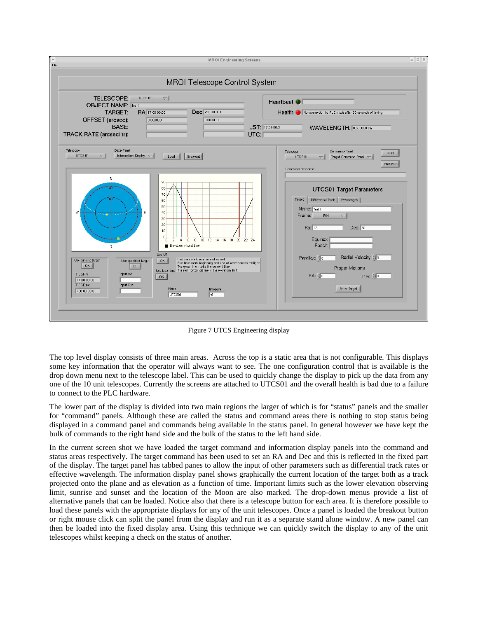

Figure 7 UTCS Engineering display

The top level display consists of three main areas. Across the top is a static area that is not configurable. This displays some key information that the operator will always want to see. The one configuration control that is available is the drop down menu next to the telescope label. This can be used to quickly change the display to pick up the data from any one of the 10 unit telescopes. Currently the screens are attached to UTCS01 and the overall health is bad due to a failure to connect to the PLC hardware.

The lower part of the display is divided into two main regions the larger of which is for "status" panels and the smaller for "command" panels. Although these are called the status and command areas there is nothing to stop status being displayed in a command panel and commands being available in the status panel. In general however we have kept the bulk of commands to the right hand side and the bulk of the status to the left hand side.

In the current screen shot we have loaded the target command and information display panels into the command and status areas respectively. The target command has been used to set an RA and Dec and this is reflected in the fixed part of the display. The target panel has tabbed panes to allow the input of other parameters such as differential track rates or effective wavelength. The information display panel shows graphically the current location of the target both as a track projected onto the plane and as elevation as a function of time. Important limits such as the lower elevation observing limit, sunrise and sunset and the location of the Moon are also marked. The drop-down menus provide a list of alternative panels that can be loaded. Notice also that there is a telescope button for each area. It is therefore possible to load these panels with the appropriate displays for any of the unit telescopes. Once a panel is loaded the breakout button or right mouse click can split the panel from the display and run it as a separate stand alone window. A new panel can then be loaded into the fixed display area. Using this technique we can quickly switch the display to any of the unit telescopes whilst keeping a check on the status of another.